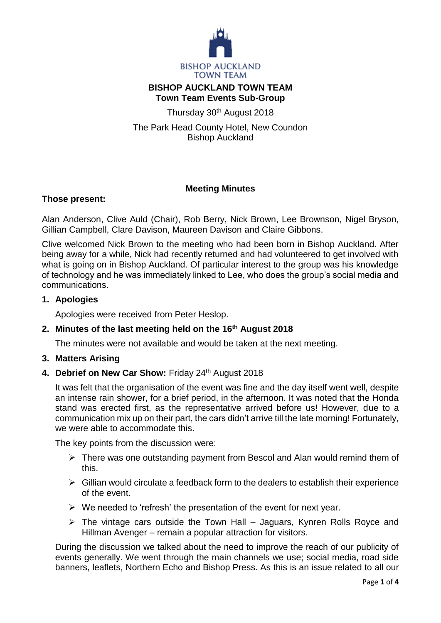

## **BISHOP AUCKLAND TOWN TEAM Town Team Events Sub-Group**

Thursday 30<sup>th</sup> August 2018

The Park Head County Hotel, New Coundon Bishop Auckland

## **Meeting Minutes**

### **Those present:**

Alan Anderson, Clive Auld (Chair), Rob Berry, Nick Brown, Lee Brownson, Nigel Bryson, Gillian Campbell, Clare Davison, Maureen Davison and Claire Gibbons.

Clive welcomed Nick Brown to the meeting who had been born in Bishop Auckland. After being away for a while, Nick had recently returned and had volunteered to get involved with what is going on in Bishop Auckland. Of particular interest to the group was his knowledge of technology and he was immediately linked to Lee, who does the group's social media and communications.

### **1. Apologies**

Apologies were received from Peter Heslop.

### **2. Minutes of the last meeting held on the 16th August 2018**

The minutes were not available and would be taken at the next meeting.

### **3. Matters Arising**

**4. Debrief on New Car Show:** Friday 24th August 2018

It was felt that the organisation of the event was fine and the day itself went well, despite an intense rain shower, for a brief period, in the afternoon. It was noted that the Honda stand was erected first, as the representative arrived before us! However, due to a communication mix up on their part, the cars didn't arrive till the late morning! Fortunately, we were able to accommodate this.

The key points from the discussion were:

- $\triangleright$  There was one outstanding payment from Bescol and Alan would remind them of this.
- $\triangleright$  Gillian would circulate a feedback form to the dealers to establish their experience of the event.
- $\triangleright$  We needed to 'refresh' the presentation of the event for next year.
- $\triangleright$  The vintage cars outside the Town Hall Jaguars, Kynren Rolls Royce and Hillman Avenger – remain a popular attraction for visitors.

During the discussion we talked about the need to improve the reach of our publicity of events generally. We went through the main channels we use; social media, road side banners, leaflets, Northern Echo and Bishop Press. As this is an issue related to all our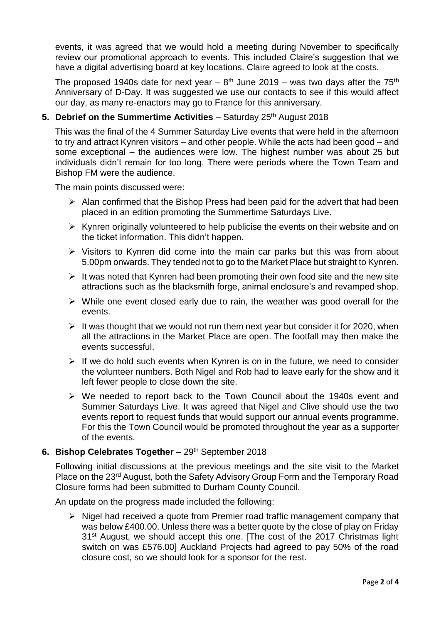events, it was agreed that we would hold a meeting during November to specifically review our promotional approach to events. This included Claire's suggestion that we have a digital advertising board at key locations. Claire agreed to look at the costs.

The proposed 1940s date for next year  $-8<sup>th</sup>$  June 2019 – was two days after the 75<sup>th</sup> Anniversary of D-Day. It was suggested we use our contacts to see if this would affect our day, as many re-enactors may go to France for this anniversary.

### **5. Debrief on the Summertime Activities** – Saturday 25<sup>th</sup> August 2018

This was the final of the 4 Summer Saturday Live events that were held in the afternoon to try and attract Kynren visitors – and other people. While the acts had been good – and some exceptional – the audiences were low. The highest number was about 25 but individuals didn't remain for too long. There were periods where the Town Team and Bishop FM were the audience.

The main points discussed were:

- $\triangleright$  Alan confirmed that the Bishop Press had been paid for the advert that had been placed in an edition promoting the Summertime Saturdays Live.
- $\triangleright$  Kynren originally volunteered to help publicise the events on their website and on the ticket information. This didn't happen.
- $\triangleright$  Visitors to Kynren did come into the main car parks but this was from about 5.00pm onwards. They tended not to go to the Market Place but straight to Kynren.
- $\triangleright$  It was noted that Kynren had been promoting their own food site and the new site attractions such as the blacksmith forge, animal enclosure's and revamped shop.
- $\triangleright$  While one event closed early due to rain, the weather was good overall for the events.
- $\triangleright$  It was thought that we would not run them next year but consider it for 2020, when all the attractions in the Market Place are open. The footfall may then make the events successful.
- $\triangleright$  If we do hold such events when Kynren is on in the future, we need to consider the volunteer numbers. Both Nigel and Rob had to leave early for the show and it left fewer people to close down the site.
- $\triangleright$  We needed to report back to the Town Council about the 1940s event and Summer Saturdays Live. It was agreed that Nigel and Clive should use the two events report to request funds that would support our annual events programme. For this the Town Council would be promoted throughout the year as a supporter of the events.

### **6. Bishop Celebrates Together** – 29<sup>th</sup> September 2018

Following initial discussions at the previous meetings and the site visit to the Market Place on the 23rd August, both the Safety Advisory Group Form and the Temporary Road Closure forms had been submitted to Durham County Council.

An update on the progress made included the following:

 $\triangleright$  Nigel had received a quote from Premier road traffic management company that was below £400.00. Unless there was a better quote by the close of play on Friday 31<sup>st</sup> August, we should accept this one. [The cost of the 2017 Christmas light switch on was £576.00] Auckland Projects had agreed to pay 50% of the road closure cost, so we should look for a sponsor for the rest.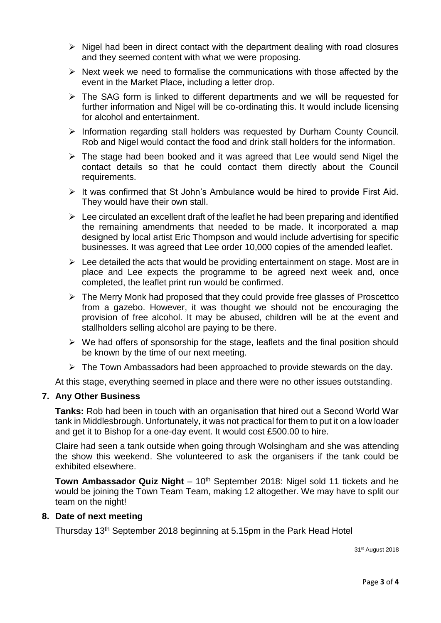- $\triangleright$  Nigel had been in direct contact with the department dealing with road closures and they seemed content with what we were proposing.
- $\triangleright$  Next week we need to formalise the communications with those affected by the event in the Market Place, including a letter drop.
- $\triangleright$  The SAG form is linked to different departments and we will be requested for further information and Nigel will be co-ordinating this. It would include licensing for alcohol and entertainment.
- $\triangleright$  Information regarding stall holders was requested by Durham County Council. Rob and Nigel would contact the food and drink stall holders for the information.
- $\triangleright$  The stage had been booked and it was agreed that Lee would send Nigel the contact details so that he could contact them directly about the Council requirements.
- $\triangleright$  It was confirmed that St John's Ambulance would be hired to provide First Aid. They would have their own stall.
- $\triangleright$  Lee circulated an excellent draft of the leaflet he had been preparing and identified the remaining amendments that needed to be made. It incorporated a map designed by local artist Eric Thompson and would include advertising for specific businesses. It was agreed that Lee order 10,000 copies of the amended leaflet.
- $\triangleright$  Lee detailed the acts that would be providing entertainment on stage. Most are in place and Lee expects the programme to be agreed next week and, once completed, the leaflet print run would be confirmed.
- $\triangleright$  The Merry Monk had proposed that they could provide free glasses of Proscettco from a gazebo. However, it was thought we should not be encouraging the provision of free alcohol. It may be abused, children will be at the event and stallholders selling alcohol are paying to be there.
- $\triangleright$  We had offers of sponsorship for the stage, leaflets and the final position should be known by the time of our next meeting.
- $\triangleright$  The Town Ambassadors had been approached to provide stewards on the day.

At this stage, everything seemed in place and there were no other issues outstanding.

### **7. Any Other Business**

**Tanks:** Rob had been in touch with an organisation that hired out a Second World War tank in Middlesbrough. Unfortunately, it was not practical for them to put it on a low loader and get it to Bishop for a one-day event. It would cost £500.00 to hire.

Claire had seen a tank outside when going through Wolsingham and she was attending the show this weekend. She volunteered to ask the organisers if the tank could be exhibited elsewhere.

**Town Ambassador Quiz Night** – 10<sup>th</sup> September 2018: Nigel sold 11 tickets and he would be joining the Town Team Team, making 12 altogether. We may have to split our team on the night!

#### **8. Date of next meeting**

Thursday 13th September 2018 beginning at 5.15pm in the Park Head Hotel

31st August 2018